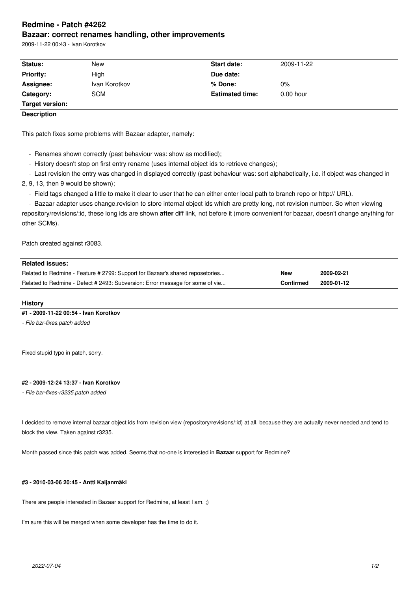# **Redmine - Patch #4262 Bazaar: correct renames handling, other improvements**

2009-11-22 00:43 - Ivan Korotkov

| Status:<br><b>New</b><br><b>Priority:</b><br>High<br>Assignee:<br>Ivan Korotkov<br>Category:<br><b>SCM</b><br>Target version:<br><b>Description</b>                                                                                                                                                                                                                                                                                                                                                                                                                                                                                                                                                                                                                                                                                            |  | <b>Start date:</b><br>Due date:<br>% Done:<br><b>Estimated time:</b> | 2009-11-22<br>$0\%$ |            |  |  |
|------------------------------------------------------------------------------------------------------------------------------------------------------------------------------------------------------------------------------------------------------------------------------------------------------------------------------------------------------------------------------------------------------------------------------------------------------------------------------------------------------------------------------------------------------------------------------------------------------------------------------------------------------------------------------------------------------------------------------------------------------------------------------------------------------------------------------------------------|--|----------------------------------------------------------------------|---------------------|------------|--|--|
|                                                                                                                                                                                                                                                                                                                                                                                                                                                                                                                                                                                                                                                                                                                                                                                                                                                |  |                                                                      |                     |            |  |  |
|                                                                                                                                                                                                                                                                                                                                                                                                                                                                                                                                                                                                                                                                                                                                                                                                                                                |  |                                                                      |                     |            |  |  |
|                                                                                                                                                                                                                                                                                                                                                                                                                                                                                                                                                                                                                                                                                                                                                                                                                                                |  |                                                                      |                     |            |  |  |
|                                                                                                                                                                                                                                                                                                                                                                                                                                                                                                                                                                                                                                                                                                                                                                                                                                                |  |                                                                      | $0.00$ hour         |            |  |  |
|                                                                                                                                                                                                                                                                                                                                                                                                                                                                                                                                                                                                                                                                                                                                                                                                                                                |  |                                                                      |                     |            |  |  |
|                                                                                                                                                                                                                                                                                                                                                                                                                                                                                                                                                                                                                                                                                                                                                                                                                                                |  |                                                                      |                     |            |  |  |
| This patch fixes some problems with Bazaar adapter, namely:<br>- Renames shown correctly (past behaviour was: show as modified);<br>- History doesn't stop on first entry rename (uses internal object ids to retrieve changes);<br>- Last revision the entry was changed in displayed correctly (past behaviour was: sort alphabetically, i.e. if object was changed in<br>$2, 9, 13$ , then 9 would be shown);<br>- Field tags changed a little to make it clear to user that he can either enter local path to branch repo or http:// URL).<br>- Bazaar adapter uses change revision to store internal object ids which are pretty long, not revision number. So when viewing<br>repository/revisions/:id, these long ids are shown after diff link, not before it (more convenient for bazaar, doesn't change anything for<br>other SCMs). |  |                                                                      |                     |            |  |  |
| Patch created against r3083.<br><b>Related issues:</b>                                                                                                                                                                                                                                                                                                                                                                                                                                                                                                                                                                                                                                                                                                                                                                                         |  |                                                                      |                     |            |  |  |
| Related to Redmine - Feature # 2799: Support for Bazaar's shared reposetories                                                                                                                                                                                                                                                                                                                                                                                                                                                                                                                                                                                                                                                                                                                                                                  |  |                                                                      | <b>New</b>          | 2009-02-21 |  |  |
| Related to Redmine - Defect # 2493: Subversion: Error message for some of vie                                                                                                                                                                                                                                                                                                                                                                                                                                                                                                                                                                                                                                                                                                                                                                  |  |                                                                      | <b>Confirmed</b>    | 2009-01-12 |  |  |

### **History**

## **#1 - 2009-11-22 00:54 - Ivan Korotkov**

*- File bzr-fixes.patch added*

Fixed stupid typo in patch, sorry.

#### **#2 - 2009-12-24 13:37 - Ivan Korotkov**

*- File bzr-fixes-r3235.patch added*

I decided to remove internal bazaar object ids from revision view (repository/revisions/:id) at all, because they are actually never needed and tend to block the view. Taken against r3235.

Month passed since this patch was added. Seems that no-one is interested in **Bazaar** support for Redmine?

#### **#3 - 2010-03-06 20:45 - Antti Kaijanmäki**

There are people interested in Bazaar support for Redmine, at least I am. ;)

I'm sure this will be merged when some developer has the time to do it.